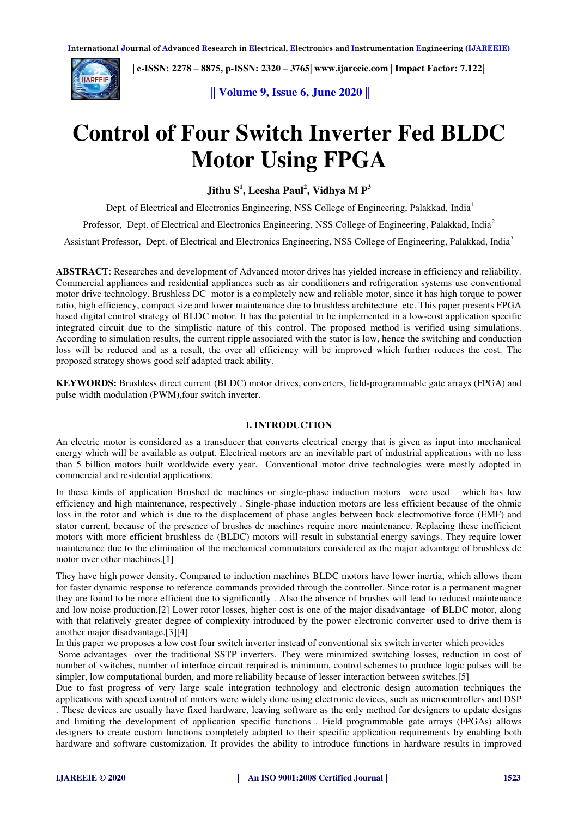

 **| e-ISSN: 2278 – 8875, p-ISSN: 2320 – 3765[| www.ijareeie.com](http://www.ijareeie.com/) | Impact Factor: 7.122|** 

## **|| Volume 9, Issue 6, June 2020 ||**

# **Control of Four Switch Inverter Fed BLDC Motor Using FPGA**

**Jithu S<sup>1</sup> , Leesha Paul<sup>2</sup> , Vidhya M P<sup>3</sup>**

Dept. of Electrical and Electronics Engineering, NSS College of Engineering, Palakkad, India<sup>1</sup>

Professor, Dept. of Electrical and Electronics Engineering, NSS College of Engineering, Palakkad, India<sup>2</sup>

Assistant Professor, Dept. of Electrical and Electronics Engineering, NSS College of Engineering, Palakkad, India<sup>3</sup>

**ABSTRACT**: Researches and development of Advanced motor drives has yielded increase in efficiency and reliability. Commercial appliances and residential appliances such as air conditioners and refrigeration systems use conventional motor drive technology. Brushless DC motor is a completely new and reliable motor, since it has high torque to power ratio, high efficiency, compact size and lower maintenance due to brushless architecture etc. This paper presents FPGA based digital control strategy of BLDC motor. It has the potential to be implemented in a low-cost application specific integrated circuit due to the simplistic nature of this control. The proposed method is verified using simulations. According to simulation results, the current ripple associated with the stator is low, hence the switching and conduction loss will be reduced and as a result, the over all efficiency will be improved which further reduces the cost. The proposed strategy shows good self adapted track ability.

**KEYWORDS:** Brushless direct current (BLDC) motor drives, converters, field-programmable gate arrays (FPGA) and pulse width modulation (PWM),four switch inverter.

## **I. INTRODUCTION**

An electric motor is considered as a transducer that converts electrical energy that is given as input into mechanical energy which will be available as output. Electrical motors are an inevitable part of industrial applications with no less than 5 billion motors built worldwide every year. Conventional motor drive technologies were mostly adopted in commercial and residential applications.

In these kinds of application Brushed dc machines or single-phase induction motors were used which has low efficiency and high maintenance, respectively . Single-phase induction motors are less efficient because of the ohmic loss in the rotor and which is due to the displacement of phase angles between back electromotive force (EMF) and stator current, because of the presence of brushes dc machines require more maintenance. Replacing these inefficient motors with more efficient brushless dc (BLDC) motors will result in substantial energy savings. They require lower maintenance due to the elimination of the mechanical commutators considered as the major advantage of brushless dc motor over other machines.[1]

They have high power density. Compared to induction machines BLDC motors have lower inertia, which allows them for faster dynamic response to reference commands provided through the controller. Since rotor is a permanent magnet they are found to be more efficient due to significantly . Also the absence of brushes will lead to reduced maintenance and low noise production.[2] Lower rotor losses, higher cost is one of the major disadvantage of BLDC motor, along with that relatively greater degree of complexity introduced by the power electronic converter used to drive them is another major disadvantage.[3][4]

In this paper we proposes a low cost four switch inverter instead of conventional six switch inverter which provides Some advantages over the traditional SSTP inverters. They were minimized switching losses, reduction in cost of number of switches, number of interface circuit required is minimum, control schemes to produce logic pulses will be simpler, low computational burden, and more reliability because of lesser interaction between switches.[5]

Due to fast progress of very large scale integration technology and electronic design automation techniques the applications with speed control of motors were widely done using electronic devices, such as microcontrollers and DSP . These devices are usually have fixed hardware, leaving software as the only method for designers to update designs and limiting the development of application specific functions . Field programmable gate arrays (FPGAs) allows designers to create custom functions completely adapted to their specific application requirements by enabling both hardware and software customization. It provides the ability to introduce functions in hardware results in improved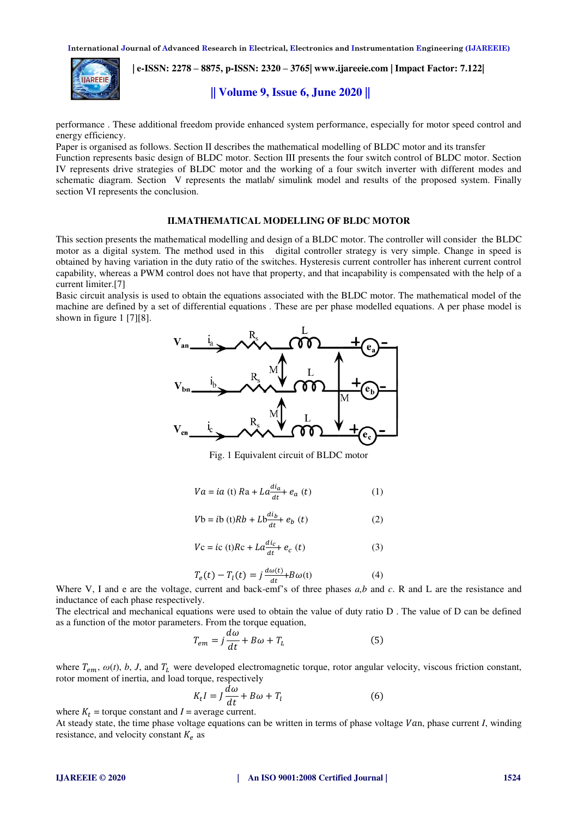

 **| e-ISSN: 2278 – 8875, p-ISSN: 2320 – 3765[| www.ijareeie.com](http://www.ijareeie.com/) | Impact Factor: 7.122|** 

## **|| Volume 9, Issue 6, June 2020 ||**

performance . These additional freedom provide enhanced system performance, especially for motor speed control and energy efficiency.

Paper is organised as follows. Section II describes the mathematical modelling of BLDC motor and its transfer

Function represents basic design of BLDC motor. Section III presents the four switch control of BLDC motor. Section IV represents drive strategies of BLDC motor and the working of a four switch inverter with different modes and schematic diagram. Section V represents the matlab/ simulink model and results of the proposed system. Finally section VI represents the conclusion.

## **II.MATHEMATICAL MODELLING OF BLDC MOTOR**

This section presents the mathematical modelling and design of a BLDC motor. The controller will consider the BLDC motor as a digital system. The method used in this digital controller strategy is very simple. Change in speed is obtained by having variation in the duty ratio of the switches. Hysteresis current controller has inherent current control capability, whereas a PWM control does not have that property, and that incapability is compensated with the help of a current limiter.[7]

Basic circuit analysis is used to obtain the equations associated with the BLDC motor. The mathematical model of the machine are defined by a set of differential equations . These are per phase modelled equations. A per phase model is shown in figure 1 [7][8].



Fig. 1 Equivalent circuit of BLDC motor

$$
Va = ia (t) Ra + La \frac{di_a}{dt} + e_a (t)
$$
 (1)

$$
Vb = ib (t)Rb + Lb \frac{di_b}{dt} + e_b (t)
$$
 (2)

$$
Vc = ic(t)Rc + La\frac{a_1}{dt} + e_c(t)
$$
 (3)

$$
T_e(t) - T_l(t) = j \frac{d\omega(t)}{dt} + B\omega(t) \tag{4}
$$

Where V, I and e are the voltage, current and back-emf's of three phases  $a,b$  and  $c$ . R and L are the resistance and inductance of each phase respectively.

The electrical and mechanical equations were used to obtain the value of duty ratio D . The value of D can be defined as a function of the motor parameters. From the torque equation,

$$
T_{em} = j\frac{d\omega}{dt} + B\omega + T_L
$$
 (5)

where  $T_{em}$ ,  $\omega(t)$ , *b*, *J*, and  $T_L$  were developed electromagnetic torque, rotor angular velocity, viscous friction constant, rotor moment of inertia, and load torque, respectively

$$
K_t I = J \frac{d\omega}{dt} + B\omega + T_l \tag{6}
$$

where  $K_t$  = torque constant and  $I$  = average current.

At steady state, the time phase voltage equations can be written in terms of phase voltage  $Van$ , phase current  $I$ , winding resistance, and velocity constant  $K_e$  as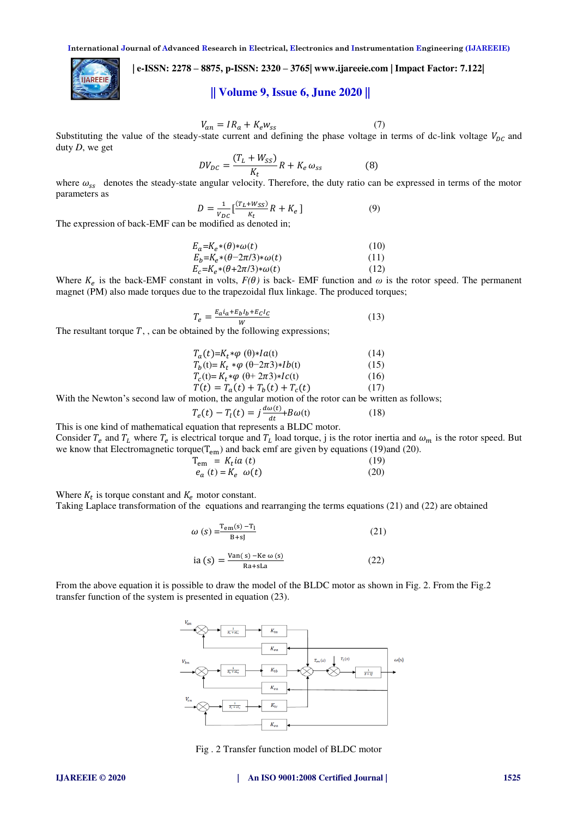## **| e-ISSN: 2278 – 8875, p-ISSN: 2320 – 3765[| www.ijareeie.com](http://www.ijareeie.com/) | Impact Factor: 7.122|**

# **|| Volume 9, Issue 6, June 2020 ||**

$$
V_{an} = IR_a + K_e w_{ss}
$$
 (7)

Substituting the value of the steady-state current and defining the phase voltage in terms of dc-link voltage  $V_{DC}$  and duty *D*, we get

$$
DV_{DC} = \frac{(T_L + W_{SS})}{K_t} R + K_e \omega_{ss}
$$
 (8)

where  $\omega_{ss}$  denotes the steady-state angular velocity. Therefore, the duty ratio can be expressed in terms of the motor parameters as

$$
D = \frac{1}{v_{DC}} \left[ \frac{(T_L + W_{SS})}{K_t} R + K_e \right]
$$
 (9)

The expression of back-EMF can be modified as denoted in;

**AREEIE** 

$$
E_a = K_e * (\theta) * \omega(t) \tag{10}
$$

$$
E_b = K_e * (\theta - 2\pi/3) * \omega(t) \tag{11}
$$

$$
E_c = K_e * (\theta + 2\pi/3) * \omega(t) \tag{12}
$$

Where  $K_e$  is the back-EMF constant in volts,  $F(\theta)$  is back-EMF function and  $\omega$  is the rotor speed. The permanent magnet (PM) also made torques due to the trapezoidal flux linkage. The produced torques;

$$
T_e = \frac{E_a i_a + E_b I_b + E_C I_C}{W} \tag{13}
$$

The resultant torque  $T$ , , can be obtained by the following expressions;

$$
T_a(t)=K_t*\varphi(\theta)*Ia(t)
$$
(14)  
\n
$$
T_b(t)=K_t*\varphi(\theta-2\pi 3)*Ib(t)
$$
(15)  
\n
$$
T_c(t)=K_t*\varphi(\theta+2\pi 3)*Ic(t)
$$
(16)  
\n
$$
T(t)=T_a(t)+T_b(t)+T_c(t)
$$
(17)

With the Newton's second law of motion, the angular motion of the rotor can be written as follows;

$$
T_e(t) - T_l(t) = j \frac{d\omega(t)}{dt} + B\omega(t)
$$
 (18)  
This is one kind of mathematical equation that represents a BLDC motor.

Consider  $T_e$  and  $T_L$  where  $T_e$  is electrical torque and  $T_L$  load torque, j is the rotor inertia and  $\omega_m$  is the rotor speed. But we know that Electromagnetic torque( $T_{em}$ ) and back emf are given by equations (19)and (20).

$$
T_{em} = K_t i a(t)
$$
\n
$$
e_a(t) = K_e \omega(t)
$$
\n(19)\n(20)

Where  $K_t$  is torque constant and  $K_e$  motor constant.

Taking Laplace transformation of the equations and rearranging the terms equations (21) and (22) are obtained

$$
\omega(s) = \frac{\text{Tem}(s) - \text{T}_1}{B + s} \tag{21}
$$
  
ia (s) = 
$$
\frac{\text{Van}(s) - \text{Ke }\omega(s)}{\text{Ra} + \text{SLa}} \tag{22}
$$

From the above equation it is possible to draw the model of the BLDC motor as shown in Fig. 2. From the Fig.2 transfer function of the system is presented in equation (23).



Fig . 2 Transfer function model of BLDC motor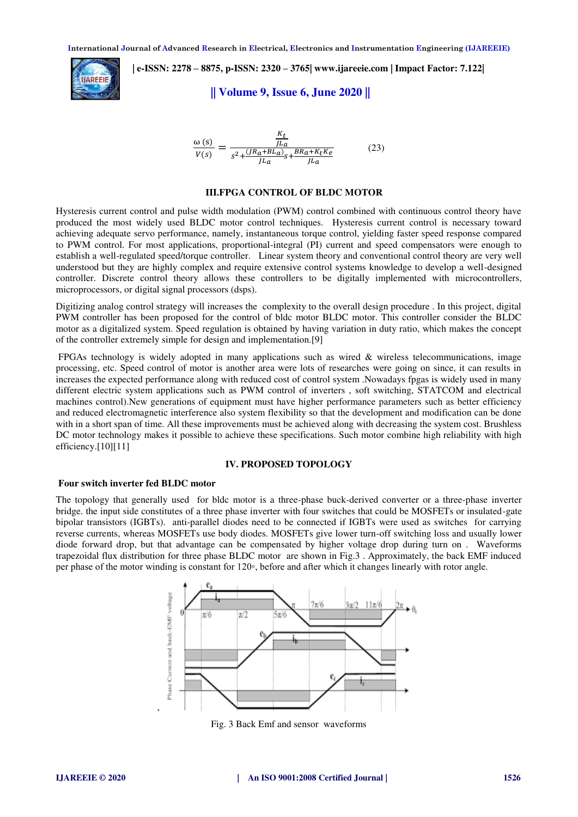

 **| e-ISSN: 2278 – 8875, p-ISSN: 2320 – 3765[| www.ijareeie.com](http://www.ijareeie.com/) | Impact Factor: 7.122|** 

#### **|| Volume 9, Issue 6, June 2020 ||**

$$
\frac{\omega(s)}{V(s)} = \frac{\frac{K_t}{J L_a}}{s^2 + \frac{(JR_a + BL_a)}{J L_a} s + \frac{BR_a + K_t K_e}{J L_a}}
$$
(23)

#### **III.FPGA CONTROL OF BLDC MOTOR**

Hysteresis current control and pulse width modulation (PWM) control combined with continuous control theory have produced the most widely used BLDC motor control techniques. Hysteresis current control is necessary toward achieving adequate servo performance, namely, instantaneous torque control, yielding faster speed response compared to PWM control. For most applications, proportional-integral (PI) current and speed compensators were enough to establish a well-regulated speed/torque controller. Linear system theory and conventional control theory are very well understood but they are highly complex and require extensive control systems knowledge to develop a well-designed controller. Discrete control theory allows these controllers to be digitally implemented with microcontrollers, microprocessors, or digital signal processors (dsps).

Digitizing analog control strategy will increases the complexity to the overall design procedure . In this project, digital PWM controller has been proposed for the control of bldc motor BLDC motor. This controller consider the BLDC motor as a digitalized system. Speed regulation is obtained by having variation in duty ratio, which makes the concept of the controller extremely simple for design and implementation.[9]

 FPGAs technology is widely adopted in many applications such as wired & wireless telecommunications, image processing, etc. Speed control of motor is another area were lots of researches were going on since, it can results in increases the expected performance along with reduced cost of control system .Nowadays fpgas is widely used in many different electric system applications such as PWM control of inverters , soft switching, STATCOM and electrical machines control).New generations of equipment must have higher performance parameters such as better efficiency and reduced electromagnetic interference also system flexibility so that the development and modification can be done with in a short span of time. All these improvements must be achieved along with decreasing the system cost. Brushless DC motor technology makes it possible to achieve these specifications. Such motor combine high reliability with high efficiency.<sup>[10][11]</sup>

#### **IV. PROPOSED TOPOLOGY**

#### **Four switch inverter fed BLDC motor**

The topology that generally used for bldc motor is a three-phase buck-derived converter or a three-phase inverter bridge. the input side constitutes of a three phase inverter with four switches that could be MOSFETs or insulated-gate bipolar transistors (IGBTs). anti-parallel diodes need to be connected if IGBTs were used as switches for carrying reverse currents, whereas MOSFETs use body diodes. MOSFETs give lower turn-off switching loss and usually lower diode forward drop, but that advantage can be compensated by higher voltage drop during turn on . Waveforms trapezoidal flux distribution for three phase BLDC motor are shown in Fig.3 . Approximately, the back EMF induced per phase of the motor winding is constant for 120◦, before and after which it changes linearly with rotor angle.



Fig. 3 Back Emf and sensor waveforms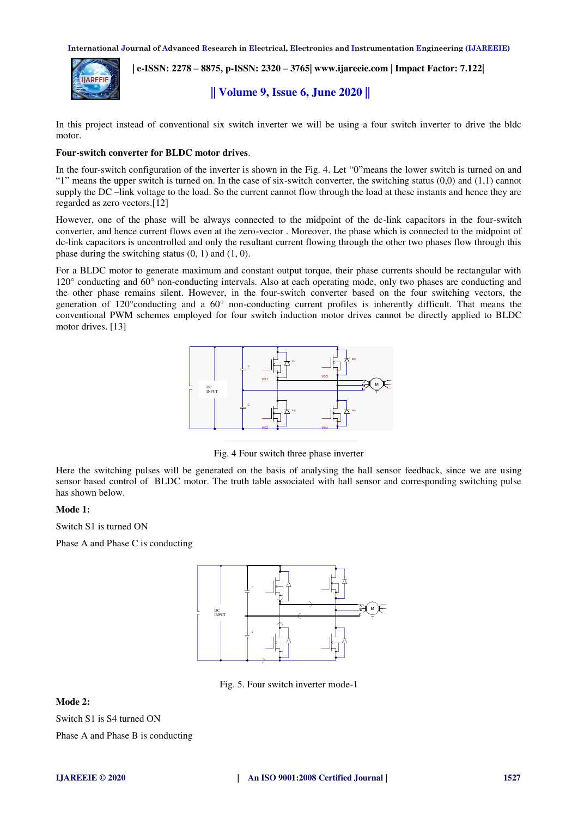

 **| e-ISSN: 2278 – 8875, p-ISSN: 2320 – 3765[| www.ijareeie.com](http://www.ijareeie.com/) | Impact Factor: 7.122|** 

# **|| Volume 9, Issue 6, June 2020 ||**

In this project instead of conventional six switch inverter we will be using a four switch inverter to drive the bldc motor.

#### **Four-switch converter for BLDC motor drives**.

In the four-switch configuration of the inverter is shown in the Fig. 4. Let "0"means the lower switch is turned on and "1" means the upper switch is turned on. In the case of six-switch converter, the switching status  $(0,0)$  and  $(1,1)$  cannot supply the DC –link voltage to the load. So the current cannot flow through the load at these instants and hence they are regarded as zero vectors.[12]

However, one of the phase will be always connected to the midpoint of the dc-link capacitors in the four-switch converter, and hence current flows even at the zero-vector . Moreover, the phase which is connected to the midpoint of dc-link capacitors is uncontrolled and only the resultant current flowing through the other two phases flow through this phase during the switching status  $(0, 1)$  and  $(1, 0)$ .

For a BLDC motor to generate maximum and constant output torque, their phase currents should be rectangular with 120° conducting and 60° non-conducting intervals. Also at each operating mode, only two phases are conducting and the other phase remains silent. However, in the four-switch converter based on the four switching vectors, the generation of 120°conducting and a 60° non-conducting current profiles is inherently difficult. That means the conventional PWM schemes employed for four switch induction motor drives cannot be directly applied to BLDC motor drives. [13]



Fig. 4 Four switch three phase inverter

Here the switching pulses will be generated on the basis of analysing the hall sensor feedback, since we are using sensor based control of BLDC motor. The truth table associated with hall sensor and corresponding switching pulse has shown below.

#### **Mode 1:**

Switch S1 is turned ON

Phase A and Phase C is conducting



Fig. 5. Four switch inverter mode-1

**Mode 2:** 

Switch S1 is S4 turned ON

Phase A and Phase B is conducting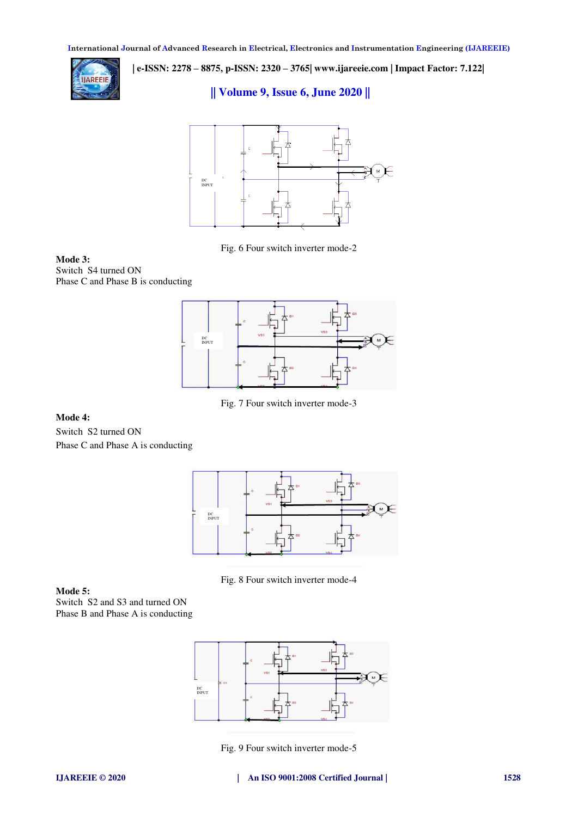

 **| e-ISSN: 2278 – 8875, p-ISSN: 2320 – 3765[| www.ijareeie.com](http://www.ijareeie.com/) | Impact Factor: 7.122|** 

# **|| Volume 9, Issue 6, June 2020 ||**



Fig. 6 Four switch inverter mode-2

**Mode 3:**  Switch S4 turned ON Phase C and Phase B is conducting



Fig. 7 Four switch inverter mode-3

## **Mode 4:**

Switch S2 turned ON Phase C and Phase A is conducting



Fig. 8 Four switch inverter mode-4

## **Mode 5:**

Switch S2 and S3 and turned ON Phase B and Phase A is conducting



Fig. 9 Four switch inverter mode-5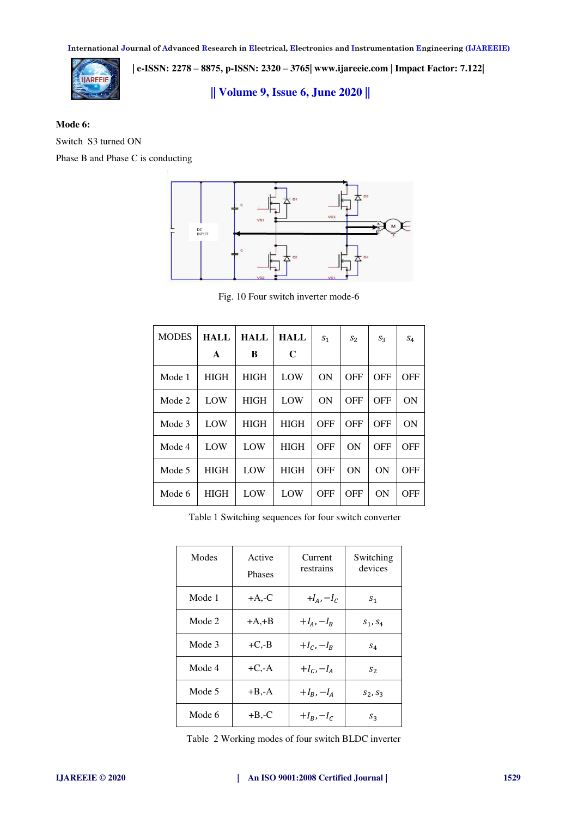

 **| e-ISSN: 2278 – 8875, p-ISSN: 2320 – 3765[| www.ijareeie.com](http://www.ijareeie.com/) | Impact Factor: 7.122|** 

**|| Volume 9, Issue 6, June 2020 ||** 

## **Mode 6:**

Switch S3 turned ON

Phase B and Phase C is conducting



Fig. 10 Four switch inverter mode-6

| <b>MODES</b> | <b>HALL</b> | HALL        | <b>HALL</b> | S <sub>1</sub> | $S_2$      | $S_3$      | $S_4$      |
|--------------|-------------|-------------|-------------|----------------|------------|------------|------------|
|              | A           | B           | C           |                |            |            |            |
| Mode 1       | <b>HIGH</b> | <b>HIGH</b> | LOW         | ON             | <b>OFF</b> | <b>OFF</b> | <b>OFF</b> |
| Mode 2       | LOW         | <b>HIGH</b> | LOW         | ON             | <b>OFF</b> | <b>OFF</b> | ON         |
| Mode 3       | LOW         | <b>HIGH</b> | <b>HIGH</b> | OFF            | <b>OFF</b> | <b>OFF</b> | ON         |
| Mode 4       | LOW         | LOW         | <b>HIGH</b> | <b>OFF</b>     | ON         | <b>OFF</b> | <b>OFF</b> |
| Mode 5       | <b>HIGH</b> | LOW         | <b>HIGH</b> | <b>OFF</b>     | ON         | ON         | OFF        |
| Mode 6       | <b>HIGH</b> | LOW         | LOW         | <b>OFF</b>     | <b>OFF</b> | ON         | <b>OFF</b> |

Table 1 Switching sequences for four switch converter

| Modes  | Active<br><b>Phases</b> | Current<br>restrains | Switching<br>devices |
|--------|-------------------------|----------------------|----------------------|
| Mode 1 | $+A, -C$                | $+I_A$ , $-I_C$      | $S_1$                |
| Mode 2 | $+A, +B$                | $+I_{A}$ , $-I_{R}$  | $S_1, S_4$           |
| Mode 3 | $+C.-B$                 | $+I_{C}$ , $-I_{B}$  | $S_4$                |
| Mode 4 | $+C$ ,-A                | $+I_{C}$ , $-I_{A}$  | $S_2$                |
| Mode 5 | $+B$ ,-A                | $+I_B$ , $-I_A$      | $S_2, S_3$           |
| Mode 6 | $+B-C$                  | $+I_B$ , $-I_C$      | $S_3$                |

Table 2 Working modes of four switch BLDC inverter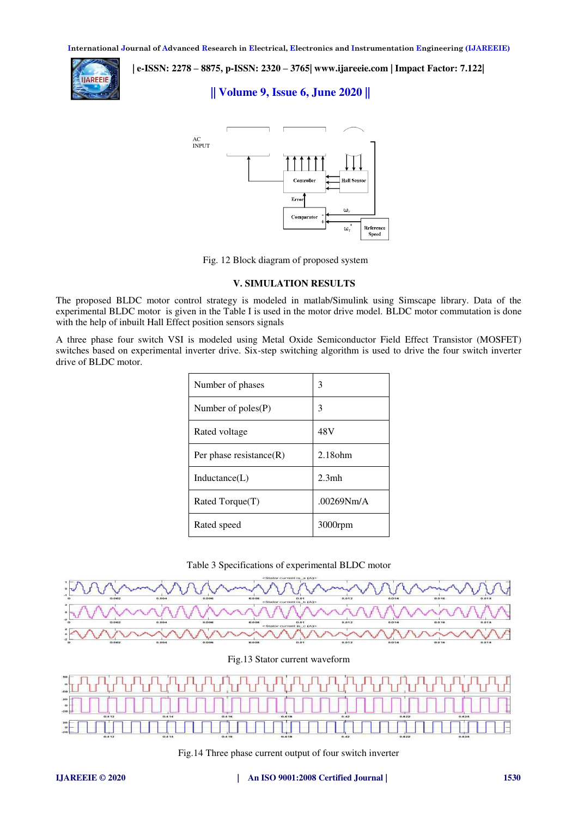

 **| e-ISSN: 2278 – 8875, p-ISSN: 2320 – 3765[| www.ijareeie.com](http://www.ijareeie.com/) | Impact Factor: 7.122|** 

# **|| Volume 9, Issue 6, June 2020 ||**



Fig. 12 Block diagram of proposed system

## **V. SIMULATION RESULTS**

The proposed BLDC motor control strategy is modeled in matlab/Simulink using Simscape library. Data of the experimental BLDC motor is given in the Table I is used in the motor drive model. BLDC motor commutation is done with the help of inbuilt Hall Effect position sensors signals

A three phase four switch VSI is modeled using Metal Oxide Semiconductor Field Effect Transistor (MOSFET) switches based on experimental inverter drive. Six-step switching algorithm is used to drive the four switch inverter drive of BLDC motor.

| Number of phases           | 3          |  |
|----------------------------|------------|--|
| Number of $poles(P)$       | 3          |  |
| Rated voltage              | 48V        |  |
| Per phase resistance $(R)$ | $2.18$ ohm |  |
| Inductance(L)              | 2.3mh      |  |
| Rated Torque(T)            | .00269Nm/A |  |
| Rated speed                | $3000$ rpm |  |

## Table 3 Specifications of experimental BLDC motor



Fig.13 Stator current waveform



Fig.14 Three phase current output of four switch inverter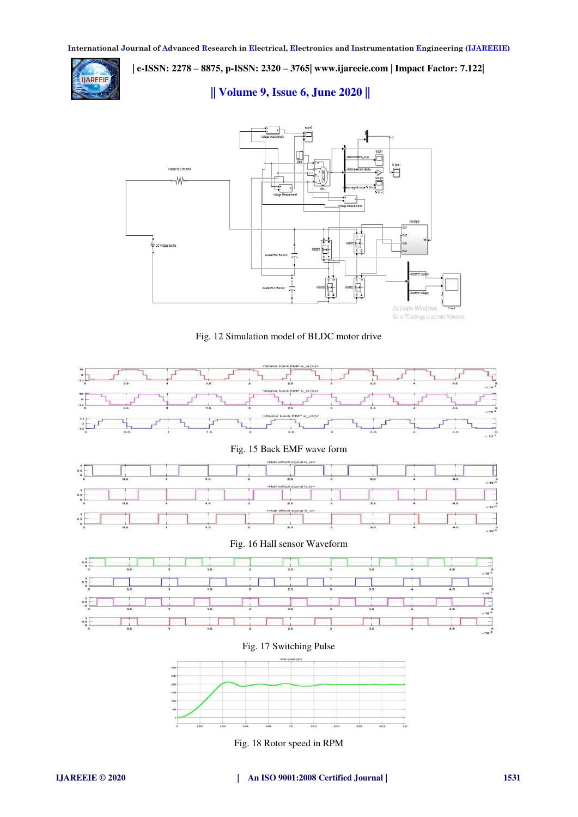

 **| e-ISSN: 2278 – 8875, p-ISSN: 2320 – 3765[| www.ijareeie.com](http://www.ijareeie.com/) | Impact Factor: 7.122| || Volume 9, Issue 6, June 2020 ||** 



Fig. 12 Simulation model of BLDC motor drive



Fig. 18 Rotor speed in RPM